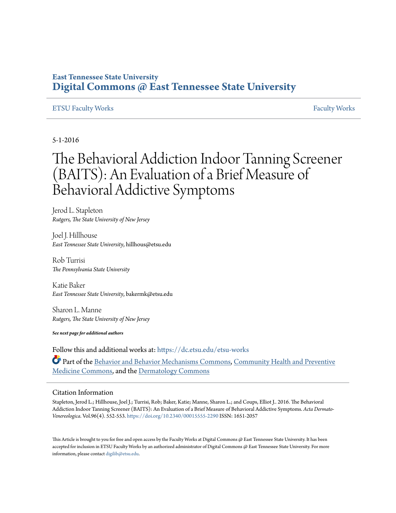## **East Tennessee State University [Digital Commons @ East Tennessee State University](https://dc.etsu.edu?utm_source=dc.etsu.edu%2Fetsu-works%2F57&utm_medium=PDF&utm_campaign=PDFCoverPages)**

## [ETSU Faculty Works](https://dc.etsu.edu/etsu-works?utm_source=dc.etsu.edu%2Fetsu-works%2F57&utm_medium=PDF&utm_campaign=PDFCoverPages) [Faculty Works](https://dc.etsu.edu/faculty-works?utm_source=dc.etsu.edu%2Fetsu-works%2F57&utm_medium=PDF&utm_campaign=PDFCoverPages) Faculty Works Faculty Works Faculty Works Faculty Works Faculty Works Faculty Works Faculty Morks Faculty Morks Faculty Morks Faculty Morks Faculty Morks Faculty Morks Faculty Morks Faculty

5-1-2016

# The Behavioral Addiction Indoor Tanning Screener (BAITS): An Evaluation of a Brief Measure of Behavioral Addictive Symptoms

Jerod L. Stapleton *Rutgers, The State University of New Jersey*

Joel J. Hillhouse *East Tennessee State University*, hillhous@etsu.edu

Rob Turrisi *The Pennsylvania State University*

Katie Baker *East Tennessee State University*, bakermk@etsu.edu

Sharon L. Manne *Rutgers, The State University of New Jersey*

*See next page for additional authors*

Follow this and additional works at: [https://dc.etsu.edu/etsu-works](https://dc.etsu.edu/etsu-works?utm_source=dc.etsu.edu%2Fetsu-works%2F57&utm_medium=PDF&utm_campaign=PDFCoverPages) Part of the [Behavior and Behavior Mechanisms Commons,](http://network.bepress.com/hgg/discipline/963?utm_source=dc.etsu.edu%2Fetsu-works%2F57&utm_medium=PDF&utm_campaign=PDFCoverPages) [Community Health and Preventive](http://network.bepress.com/hgg/discipline/744?utm_source=dc.etsu.edu%2Fetsu-works%2F57&utm_medium=PDF&utm_campaign=PDFCoverPages) [Medicine Commons,](http://network.bepress.com/hgg/discipline/744?utm_source=dc.etsu.edu%2Fetsu-works%2F57&utm_medium=PDF&utm_campaign=PDFCoverPages) and the [Dermatology Commons](http://network.bepress.com/hgg/discipline/684?utm_source=dc.etsu.edu%2Fetsu-works%2F57&utm_medium=PDF&utm_campaign=PDFCoverPages)

## Citation Information

Stapleton, Jerod L.; Hillhouse, Joel J.; Turrisi, Rob; Baker, Katie; Manne, Sharon L.; and Coups, Elliot J.. 2016. The Behavioral Addiction Indoor Tanning Screener (BAITS): An Evaluation of a Brief Measure of Behavioral Addictive Symptoms. *Acta Dermato-Venereologica*. Vol.96(4). 552-553. <https://doi.org/10.2340/00015555-2290> ISSN: 1651-2057

This Article is brought to you for free and open access by the Faculty Works at Digital Commons  $\varpi$  East Tennessee State University. It has been accepted for inclusion in ETSU Faculty Works by an authorized administrator of Digital Commons @ East Tennessee State University. For more information, please contact [digilib@etsu.edu.](mailto:digilib@etsu.edu)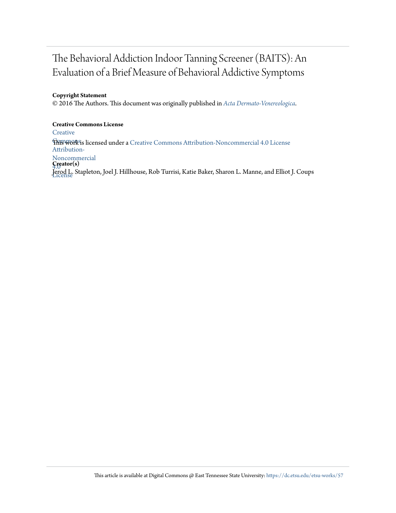## The Behavioral Addiction Indoor Tanning Screener (BAITS): An Evaluation of a Brief Measure of Behavioral Addictive Symptoms

## **Copyright Statement**

© 2016 The Authors. This document was originally published in *[Acta Dermato-Venereologica](https://doi.org/10.2340/00015555-2290)*.

## **Creative Commons License**

**[Creative](http://creativecommons.org/licenses/by-nc/4.0/)** 

**This work is licensed under a** [Creative Commons Attribution-Noncommercial 4.0 License](http://creativecommons.org/licenses/by-nc/4.0/) Attribution-

Noncommercial

4.0 **Creator(s)** License Jerod L. Stapleton, Joel J. Hillhouse, Rob Turrisi, Katie Baker, Sharon L. Manne, and Elliot J. Coups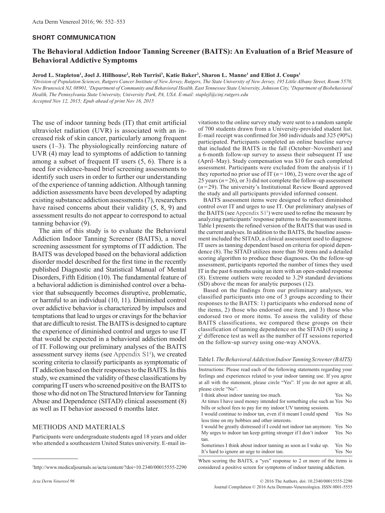#### **SHORT COMMUNICATION**

## **The Behavioral Addiction Indoor Tanning Screener (BAITS): An Evaluation of a Brief Measure of Behavioral Addictive Symptoms**

#### $J$ erod  $L$ . Stapleton<sup>ı</sup>, Joel J. Hillhouse<sup>2</sup>, Rob Turrisi<sup>3</sup>, Katie Baker<sup>2</sup>, Sharon L. Manne<sup>1</sup> and Elliot J. Coups<sup>1</sup>

*1 Division of Population Sciences, Rutgers Cancer Institute of New Jersey, Rutgers, The State University of New Jersey, 195 Little Albany Street, Room 5570, New Brunswick NJ, 08901, 2 Department of Community and Behavioral Health, East Tennessee State University, Johnson City, 3 Department of Biobehavioral Health, The Pennsylvania State University, University Park, PA, USA. E-mail: staplejl@cinj.rutgers.edu Accepted Nov 12, 2015; Epub ahead of print Nov 16, 2015*

The use of indoor tanning beds (IT) that emit artificial ultraviolet radiation (UVR) is associated with an increased risk of skin cancer, particularly among frequent users (1–3). The physiologically reinforcing nature of UVR (4) may lead to symptoms of addiction to tanning among a subset of frequent IT users (5, 6). There is a need for evidence-based brief screening assessments to identify such users in order to further our understanding of the experience of tanning addiction. Although tanning addiction assessments have been developed by adapting existing substance addiction assessments (7), researchers have raised concerns about their validity  $(5, 8, 9)$  and assessment results do not appear to correspond to actual tanning behavior (9).

The aim of this study is to evaluate the Behavioral Addiction Indoor Tanning Screener (BAITS), a novel screening assessment for symptoms of IT addiction. The BAITS was developed based on the behavioral addiction disorder model described for the first time in the recently published Diagnostic and Statistical Manual of Mental Disorders, Fifth Edition (10). The fundamental feature of a behavioral addiction is diminished control over a behavior that subsequently becomes disruptive, problematic, or harmful to an individual (10, 11). Diminished control over addictive behavior is characterized by impulses and temptations that lead to urges or cravings for the behavior that are difficult to resist. The BAITS is designed to capture the experience of diminished control and urges to use IT that would be expected in a behavioral addiction model of IT. Following our preliminary analyses of the BAITS assessment survey items (see Appendix  $S1<sup>1</sup>$ ), we created scoring criteria to classify participants as symptomatic of IT addiction based on their responses to the BAITS. In this study, we examined the validity of these classifications by comparing IT users who screened positive on the BAITS to those who did not on The Structured Interview for Tanning Abuse and Dependence (SITAD) clinical assessment (8) as well as IT behavior assessed 6 months later.

### METHODS AND MATERIALS

Participants were undergraduate students aged 18 years and older who attended a southeastern United States university. E-mail in-

vitations to the online survey study were sent to a random sample of 700 students drawn from a University-provided student list. E-mail receipt was confirmed for 360 individuals and 325 (90%) participated. Participants completed an online baseline survey that included the BAITS in the fall (October–November) and a 6-month follow-up survey to assess their subsequent IT use (April–May). Study compensation was \$10 for each completed assessment. Participants were excluded from the analysis if 1) they reported no prior use of IT  $(n=106)$ , 2) were over the age of 25 years (*n*=26), or 3) did not complete the follow-up assessment (*n* = 29). The university's Institutional Review Board approved the study and all participants provided informed consent.

BAITS assessment items were designed to reflect diminished control over IT and urges to use IT. Our preliminary analyses of the BAITS (see Appendix  $S1<sup>1</sup>$ ) were used to refine the measure by analyzing participants' response patterns to the assessment items. Table I presents the refined version of the BAITS that was used in the current analyses. In addition to the BAITS, the baseline assessment included the SITAD, a clinical assessment used to diagnose IT users as tanning dependent based on criteria for opioid dependence (8). The SITAD utilizes more than 50 items and a detailed scoring algorithm to produce these diagnoses. On the follow-up assessment, participants reported the number of times they used IT in the past 6 months using an item with an open-ended response (8). Extreme outliers were recoded to 3.29 standard deviations (SD) above the mean for analytic purposes (12).

Based on the findings from our preliminary analyses, we classified participants into one of 3 groups according to their responses to the BAITS: 1) participants who endorsed none of the items, 2) those who endorsed one item, and 3) those who endorsed two or more items. To assess the validity of these BAITS classifications, we compared these groups on their classification of tanning dependence on the SITAD (8) using a  $\chi^2$  difference test as well as the number of IT sessions reported on the follow-up survey using one-way ANOVA.

#### Table I. *The Behavioral Addiction Indoor Tanning Screener (BAITS)*

Instructions: Please read each of the following statements regarding your feelings and experiences related to your indoor tanning use. If you agree at all with the statement, please circle "Yes". If you do not agree at all, please circle "No".

| I think about indoor tanning too much.                                  | Yes No |  |
|-------------------------------------------------------------------------|--------|--|
| At times I have used money intended for something else such as Yes No   |        |  |
| bills or school fees to pay for my indoor UV tanning sessions.          |        |  |
| I would continue to indoor tan, even if it meant I could spend          | Yes No |  |
| less time on my hobbies and other interests.                            |        |  |
| I would be greatly distressed if I could not indoor tan anymore. Yes No |        |  |
| My urges to indoor tan keep getting stronger if I don't indoor Yes No   |        |  |
| tan.                                                                    |        |  |
| Sometimes I think about indoor tanning as soon as I wake up.            | Yes No |  |
| It's hard to ignore an urge to indoor tan.                              | Yes No |  |
|                                                                         |        |  |

When scoring the BAITS, a "yes" response to 2 or more of the items is considered a positive screen for symptoms of indoor tanning addiction.

<sup>1</sup> http://www.medicaljournals.se/acta/content/?doi=10.2340/00015555-2290